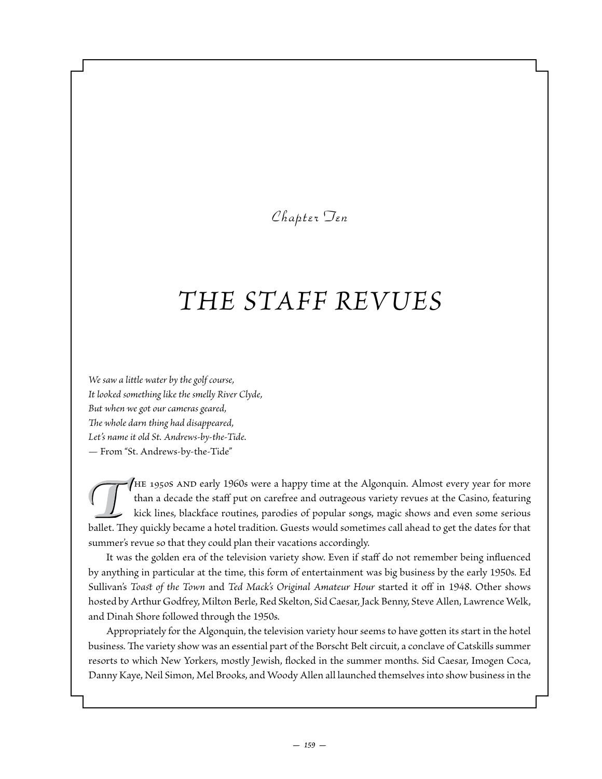### *Chapter Ten*

# *The Staff Revues*

*We saw a little water by the golf course, It looked something like the smelly River Clyde, But when we got our cameras geared, The whole darn thing had disappeared, Let's name it old St. Andrews-by-the-Tide. —* From "St. Andrews-by-the-Tide"

HE 1950S AND early 1960s were a happy time at the Algonquin. Almost every year for more than a decade the staff put on carefree and outrageous variety revues at the Casino, featuring kick lines, blackface routines, parodies of popular songs, magic shows and even some serious ballet. They quickly became a hotel tradition. Guests would sometimes call ahead to get the dates for that summer's revue so that they could plan their vacations accordingly.

It was the golden era of the television variety show. Even if staff do not remember being influenced by anything in particular at the time, this form of entertainment was big business by the early 1950s. Ed Sullivan's *Toast of the Town* and *Ted Mack's Original Amateur Hour* started it off in 1948. Other shows hosted by Arthur Godfrey, Milton Berle, Red Skelton, Sid Caesar, Jack Benny, Steve Allen, Lawrence Welk, and Dinah Shore followed through the 1950s.

Appropriately for the Algonquin, the television variety hour seems to have gotten its start in the hotel business. The variety show was an essential part of the Borscht Belt circuit, a conclave of Catskills summer resorts to which New Yorkers, mostly Jewish, flocked in the summer months. Sid Caesar, Imogen Coca, Danny Kaye, Neil Simon, Mel Brooks, and Woody Allen all launched themselves into show business in the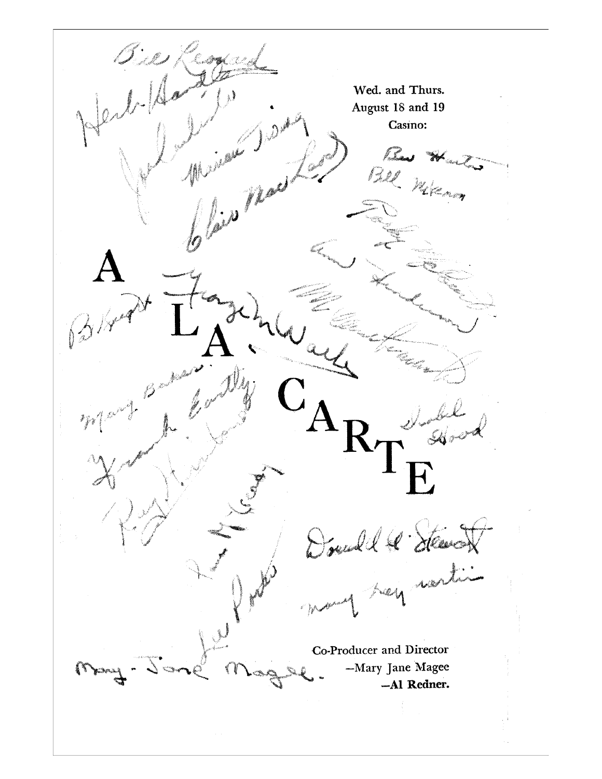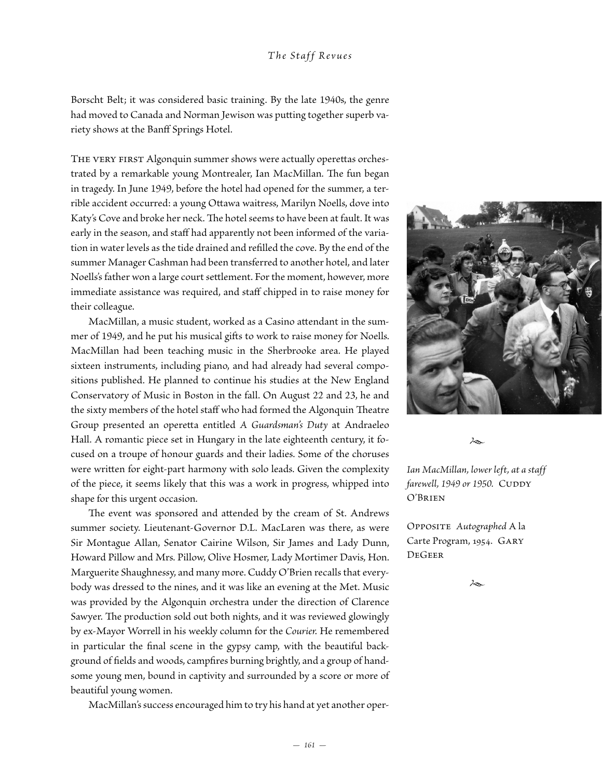Borscht Belt; it was considered basic training. By the late 1940s, the genre had moved to Canada and Norman Jewison was putting together superb variety shows at the Banff Springs Hotel.

THE VERY FIRST Algonquin summer shows were actually operettas orchestrated by a remarkable young Montrealer, Ian MacMillan. The fun began in tragedy. In June 1949, before the hotel had opened for the summer, a terrible accident occurred: a young Ottawa waitress, Marilyn Noells, dove into Katy's Cove and broke her neck. The hotel seems to have been at fault. It was early in the season, and staff had apparently not been informed of the variation in water levels as the tide drained and refilled the cove. By the end of the summer Manager Cashman had been transferred to another hotel, and later Noells's father won a large court settlement. For the moment, however, more immediate assistance was required, and staff chipped in to raise money for their colleague.

MacMillan, a music student, worked as a Casino attendant in the summer of 1949, and he put his musical gifts to work to raise money for Noells. MacMillan had been teaching music in the Sherbrooke area. He played sixteen instruments, including piano, and had already had several compositions published. He planned to continue his studies at the New England Conservatory of Music in Boston in the fall. On August 22 and 23, he and the sixty members of the hotel staff who had formed the Algonquin Theatre Group presented an operetta entitled *A Guardsman's Duty* at Andraeleo Hall. A romantic piece set in Hungary in the late eighteenth century, it focused on a troupe of honour guards and their ladies. Some of the choruses were written for eight-part harmony with solo leads. Given the complexity of the piece, it seems likely that this was a work in progress, whipped into shape for this urgent occasion.

The event was sponsored and attended by the cream of St. Andrews summer society. Lieutenant-Governor D.L. MacLaren was there, as were Sir Montague Allan, Senator Cairine Wilson, Sir James and Lady Dunn, Howard Pillow and Mrs. Pillow, Olive Hosmer, Lady Mortimer Davis, Hon. Marguerite Shaughnessy, and many more. Cuddy O'Brien recalls that everybody was dressed to the nines, and it was like an evening at the Met. Music was provided by the Algonquin orchestra under the direction of Clarence Sawyer. The production sold out both nights, and it was reviewed glowingly by ex-Mayor Worrell in his weekly column for the *Courier.* He remembered in particular the final scene in the gypsy camp, with the beautiful background of fields and woods, campfires burning brightly, and a group of handsome young men, bound in captivity and surrounded by a score or more of beautiful young women.

MacMillan's success encouraged him to try his hand at yet another oper-



*•*

*Ian MacMillan, lower left, at a staff farewell, 1949 or 1950.* CUDDY O'Brien

Opposite *Autographed* A la Carte Program, 1954. Gary DeGeer

*•*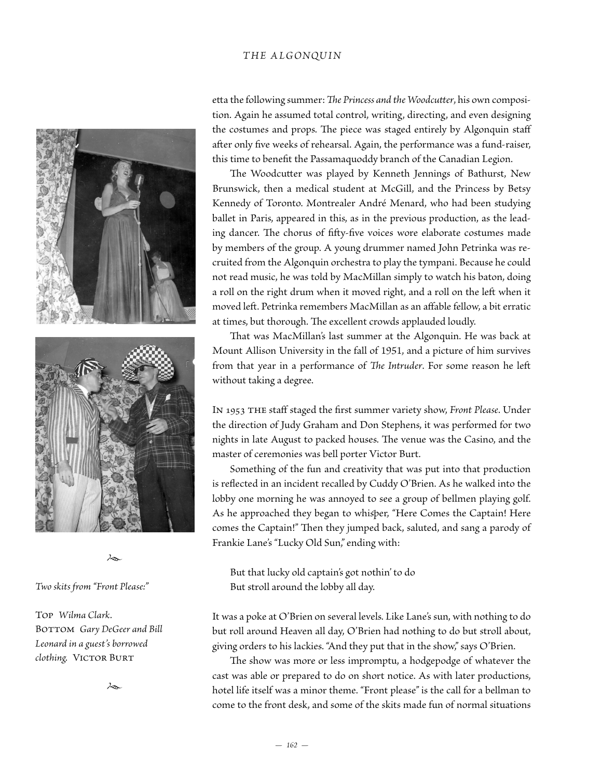#### *THE ALGONQUIN*



*•*

*Two skits from "Front Please:"* 

Top *Wilma Clark.*  BOTTOM Gary DeGeer and Bill *Leonard in a guest's borrowed*  clothing. VICTOR BURT

*•*

etta the following summer: *The Princess and the Woodcutter*, his own composition. Again he assumed total control, writing, directing, and even designing the costumes and props. The piece was staged entirely by Algonquin staff after only five weeks of rehearsal. Again, the performance was a fund-raiser, this time to benefit the Passamaquoddy branch of the Canadian Legion.

The Woodcutter was played by Kenneth Jennings of Bathurst, New Brunswick, then a medical student at McGill, and the Princess by Betsy Kennedy of Toronto. Montrealer André Menard, who had been studying ballet in Paris, appeared in this, as in the previous production, as the leading dancer. The chorus of fifty-five voices wore elaborate costumes made by members of the group. A young drummer named John Petrinka was recruited from the Algonquin orchestra to play the tympani. Because he could not read music, he was told by MacMillan simply to watch his baton, doing a roll on the right drum when it moved right, and a roll on the left when it moved left. Petrinka remembers MacMillan as an affable fellow, a bit erratic at times, but thorough. The excellent crowds applauded loudly.

That was MacMillan's last summer at the Algonquin. He was back at Mount Allison University in the fall of 1951, and a picture of him survives from that year in a performance of *The Intruder*. For some reason he left without taking a degree.

In 1953 the staff staged the first summer variety show, *Front Please*. Under the direction of Judy Graham and Don Stephens, it was performed for two nights in late August to packed houses. The venue was the Casino, and the master of ceremonies was bell porter Victor Burt.

Something of the fun and creativity that was put into that production is reflected in an incident recalled by Cuddy O'Brien. As he walked into the lobby one morning he was annoyed to see a group of bellmen playing golf. As he approached they began to whisper, "Here Comes the Captain! Here comes the Captain!" Then they jumped back, saluted, and sang a parody of Frankie Lane's "Lucky Old Sun," ending with:

But that lucky old captain's got nothin' to do But stroll around the lobby all day.

It was a poke at O'Brien on several levels. Like Lane's sun, with nothing to do but roll around Heaven all day, O'Brien had nothing to do but stroll about, giving orders to his lackies. "And they put that in the show," says O'Brien.

The show was more or less impromptu, a hodgepodge of whatever the cast was able or prepared to do on short notice. As with later productions, hotel life itself was a minor theme. "Front please" is the call for a bellman to come to the front desk, and some of the skits made fun of normal situations